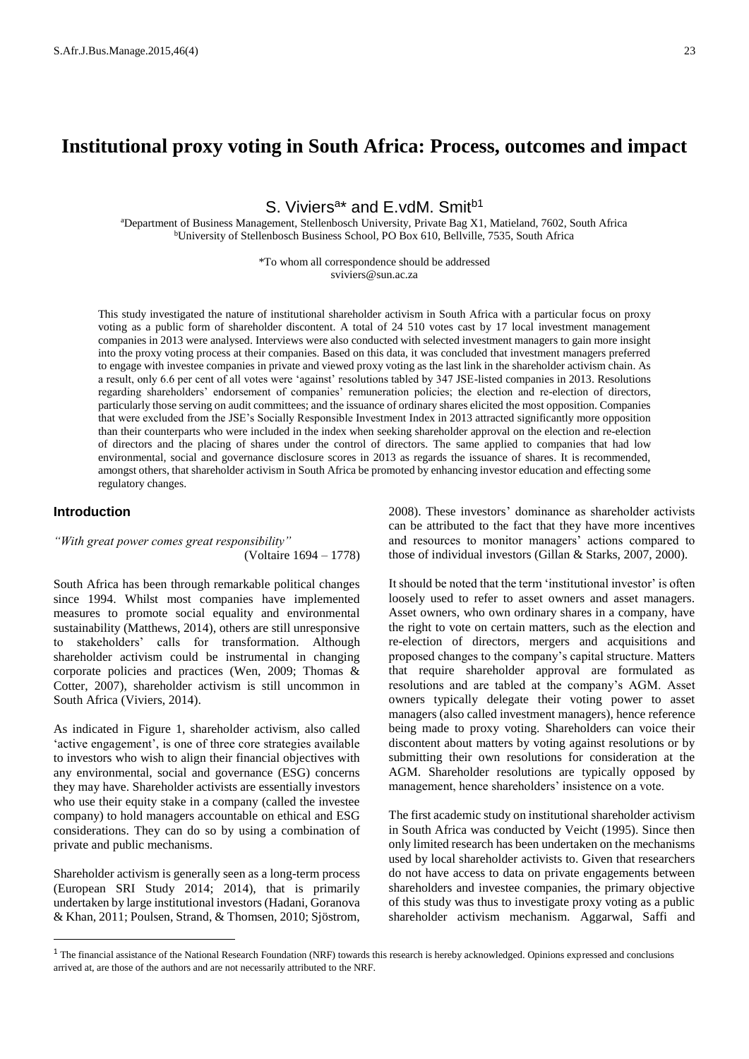# **Institutional proxy voting in South Africa: Process, outcomes and impact**

S. Viviers<sup>a\*</sup> and E.vdM. Smit<sup>b1</sup>

<sup>a</sup>Department of Business Management, Stellenbosch University, Private Bag X1, Matieland, 7602, South Africa <sup>b</sup>University of Stellenbosch Business School, PO Box 610, Bellville, 7535, South Africa

> \*To whom all correspondence should be addressed sviviers@sun.ac.za

This study investigated the nature of institutional shareholder activism in South Africa with a particular focus on proxy voting as a public form of shareholder discontent. A total of 24 510 votes cast by 17 local investment management companies in 2013 were analysed. Interviews were also conducted with selected investment managers to gain more insight into the proxy voting process at their companies. Based on this data, it was concluded that investment managers preferred to engage with investee companies in private and viewed proxy voting as the last link in the shareholder activism chain. As a result, only 6.6 per cent of all votes were 'against' resolutions tabled by 347 JSE-listed companies in 2013. Resolutions regarding shareholders' endorsement of companies' remuneration policies; the election and re-election of directors, particularly those serving on audit committees; and the issuance of ordinary shares elicited the most opposition. Companies that were excluded from the JSE's Socially Responsible Investment Index in 2013 attracted significantly more opposition than their counterparts who were included in the index when seeking shareholder approval on the election and re-election of directors and the placing of shares under the control of directors. The same applied to companies that had low environmental, social and governance disclosure scores in 2013 as regards the issuance of shares. It is recommended, amongst others, that shareholder activism in South Africa be promoted by enhancing investor education and effecting some regulatory changes.

## **Introduction**

 $\overline{a}$ 

*"With great power comes great responsibility"* (Voltaire 1694 – 1778)

South Africa has been through remarkable political changes since 1994. Whilst most companies have implemented measures to promote social equality and environmental sustainability (Matthews, 2014), others are still unresponsive to stakeholders' calls for transformation. Although shareholder activism could be instrumental in changing corporate policies and practices (Wen, 2009; Thomas & Cotter, 2007), shareholder activism is still uncommon in South Africa (Viviers, 2014).

As indicated in Figure 1, shareholder activism, also called 'active engagement', is one of three core strategies available to investors who wish to align their financial objectives with any environmental, social and governance (ESG) concerns they may have. Shareholder activists are essentially investors who use their equity stake in a company (called the investee company) to hold managers accountable on ethical and ESG considerations. They can do so by using a combination of private and public mechanisms.

Shareholder activism is generally seen as a long-term process (European SRI Study 2014; 2014), that is primarily undertaken by large institutional investors (Hadani, Goranova & Khan, 2011; Poulsen, Strand, & Thomsen, 2010; Sjöstrom,

2008). These investors' dominance as shareholder activists can be attributed to the fact that they have more incentives and resources to monitor managers' actions compared to those of individual investors (Gillan & Starks, 2007, 2000).

It should be noted that the term 'institutional investor' is often loosely used to refer to asset owners and asset managers. Asset owners, who own ordinary shares in a company, have the right to vote on certain matters, such as the election and re-election of directors, mergers and acquisitions and proposed changes to the company's capital structure. Matters that require shareholder approval are formulated as resolutions and are tabled at the company's AGM. Asset owners typically delegate their voting power to asset managers (also called investment managers), hence reference being made to proxy voting. Shareholders can voice their discontent about matters by voting against resolutions or by submitting their own resolutions for consideration at the AGM. Shareholder resolutions are typically opposed by management, hence shareholders' insistence on a vote.

The first academic study on institutional shareholder activism in South Africa was conducted by Veicht (1995). Since then only limited research has been undertaken on the mechanisms used by local shareholder activists to. Given that researchers do not have access to data on private engagements between shareholders and investee companies, the primary objective of this study was thus to investigate proxy voting as a public shareholder activism mechanism. Aggarwal, Saffi and

<sup>&</sup>lt;sup>1</sup> The financial assistance of the National Research Foundation (NRF) towards this research is hereby acknowledged. Opinions expressed and conclusions arrived at, are those of the authors and are not necessarily attributed to the NRF.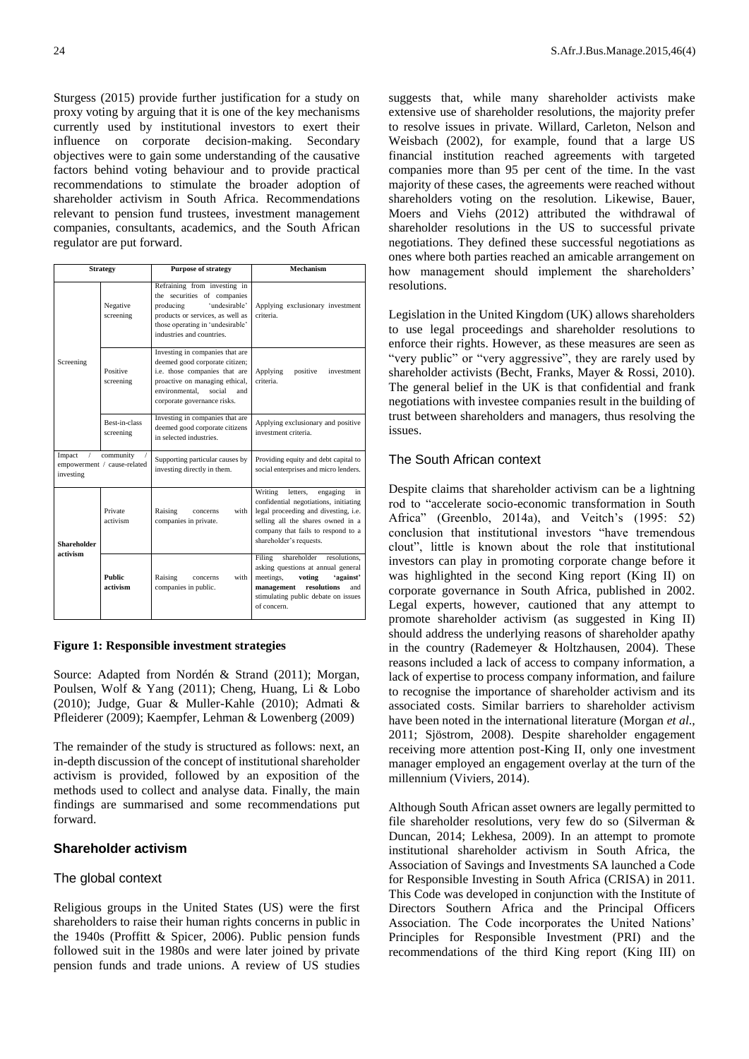Sturgess (2015) provide further justification for a study on proxy voting by arguing that it is one of the key mechanisms currently used by institutional investors to exert their influence on corporate decision-making. Secondary objectives were to gain some understanding of the causative factors behind voting behaviour and to provide practical recommendations to stimulate the broader adoption of shareholder activism in South Africa. Recommendations relevant to pension fund trustees, investment management companies, consultants, academics, and the South African regulator are put forward.

| <b>Strategy</b>                                                 |                            | <b>Purpose of strategy</b>                                                                                                                                                                             | Mechanism                                                                                                                                                                                                                    |  |  |
|-----------------------------------------------------------------|----------------------------|--------------------------------------------------------------------------------------------------------------------------------------------------------------------------------------------------------|------------------------------------------------------------------------------------------------------------------------------------------------------------------------------------------------------------------------------|--|--|
|                                                                 | Negative<br>screening      | Refraining from investing in<br>the securities of companies<br>'undesirable'<br>producing<br>products or services, as well as<br>those operating in 'undesirable'<br>industries and countries.         | Applying exclusionary investment<br>criteria.                                                                                                                                                                                |  |  |
| Screening                                                       | Positive<br>screening      | Investing in companies that are<br>deemed good corporate citizen;<br>i.e. those companies that are<br>proactive on managing ethical,<br>environmental.<br>social<br>and<br>corporate governance risks. | Applying<br>positive<br>investment<br>criteria.                                                                                                                                                                              |  |  |
|                                                                 | Best-in-class<br>screening | Investing in companies that are<br>deemed good corporate citizens<br>in selected industries.                                                                                                           | Applying exclusionary and positive<br>investment criteria.                                                                                                                                                                   |  |  |
| Impact<br>community<br>empowerment / cause-related<br>investing |                            | Supporting particular causes by<br>investing directly in them.                                                                                                                                         | Providing equity and debt capital to<br>social enterprises and micro lenders.                                                                                                                                                |  |  |
| <b>Shareholder</b>                                              | Private<br>activism        | Raising<br>with<br>concerns<br>companies in private.                                                                                                                                                   | Writing<br>letters.<br>engaging<br>in<br>confidential negotiations, initiating<br>legal proceeding and divesting, i.e.<br>selling all the shares owned in a<br>company that fails to respond to a<br>shareholder's requests. |  |  |
| activism                                                        | <b>Public</b><br>activism  | Raising<br>with<br>concerns<br>companies in public.                                                                                                                                                    | shareholder<br>Filing<br>resolutions.<br>asking questions at annual general<br>meetings,<br>voting<br>'against'<br>resolutions<br>management<br>and<br>stimulating public debate on issues<br>of concern.                    |  |  |

#### **Figure 1: Responsible investment strategies**

Source: Adapted from Nordén & Strand (2011); Morgan, Poulsen, Wolf & Yang (2011); Cheng, Huang, Li & Lobo (2010); Judge, Guar & Muller-Kahle (2010); [Admati](http://rfs.oxfordjournals.org/search?author1=Anat+R.+Admati&sortspec=date&submit=Submit) & [Pfleiderer](http://rfs.oxfordjournals.org/search?author1=Paul+Pfleiderer&sortspec=date&submit=Submit) (2009); Kaempfer, Lehman & Lowenberg (2009)

The remainder of the study is structured as follows: next, an in-depth discussion of the concept of institutional shareholder activism is provided, followed by an exposition of the methods used to collect and analyse data. Finally, the main findings are summarised and some recommendations put forward.

# **Shareholder activism**

#### The global context

Religious groups in the United States (US) were the first shareholders to raise their human rights concerns in public in the 1940s (Proffitt & Spicer, 2006). Public pension funds followed suit in the 1980s and were later joined by private pension funds and trade unions. A review of US studies

suggests that, while many shareholder activists make extensive use of shareholder resolutions, the majority prefer to resolve issues in private. Willard, Carleton, Nelson and Weisbach (2002), for example, found that a large US financial institution reached agreements with targeted companies more than 95 per cent of the time. In the vast majority of these cases, the agreements were reached without shareholders voting on the resolution. Likewise, Bauer, Moers and Viehs (2012) attributed the withdrawal of shareholder resolutions in the US to successful private negotiations. They defined these successful negotiations as ones where both parties reached an amicable arrangement on how management should implement the shareholders' resolutions.

Legislation in the United Kingdom (UK) allows shareholders to use legal proceedings and shareholder resolutions to enforce their rights. However, as these measures are seen as "very public" or "very aggressive", they are rarely used by shareholder activists (Becht, Franks, Mayer & Rossi, 2010). The general belief in the UK is that confidential and frank negotiations with investee companies result in the building of trust between shareholders and managers, thus resolving the issues.

## The South African context

Despite claims that shareholder activism can be a lightning rod to "accelerate socio-economic transformation in South Africa" (Greenblo, 2014a), and Veitch's (1995: 52) conclusion that institutional investors "have tremendous clout", little is known about the role that institutional investors can play in promoting corporate change before it was highlighted in the second King report (King II) on corporate governance in South Africa, published in 2002. Legal experts, however, cautioned that any attempt to promote shareholder activism (as suggested in King II) should address the underlying reasons of shareholder apathy in the country (Rademeyer & Holtzhausen, 2004). These reasons included a lack of access to company information, a lack of expertise to process company information, and failure to recognise the importance of shareholder activism and its associated costs. Similar barriers to shareholder activism have been noted in the international literature (Morgan *et al*., 2011; Sjöstrom, 2008). Despite shareholder engagement receiving more attention post-King II, only one investment manager employed an engagement overlay at the turn of the millennium (Viviers, 2014).

Although South African asset owners are legally permitted to file shareholder resolutions, very few do so (Silverman & Duncan, 2014; Lekhesa, 2009). In an attempt to promote institutional shareholder activism in South Africa, the Association of Savings and Investments SA launched a Code for Responsible Investing in South Africa (CRISA) in 2011. This Code was developed in conjunction with the Institute of Directors Southern Africa and the Principal Officers Association. The Code incorporates the United Nations' Principles for Responsible Investment (PRI) and the recommendations of the third King report (King III) on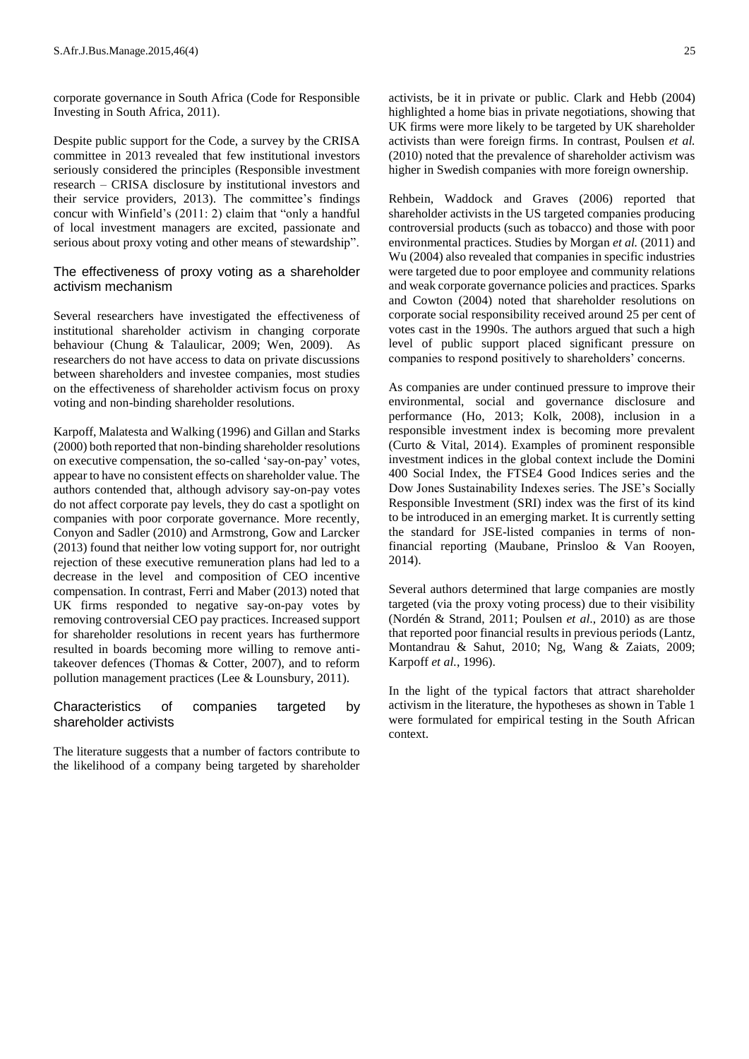corporate governance in South Africa (Code for Responsible Investing in South Africa, 2011).

Despite public support for the Code, a survey by the CRISA committee in 2013 revealed that few institutional investors seriously considered the principles (Responsible investment research – CRISA disclosure by institutional investors and their service providers, 2013). The committee's findings concur with Winfield's (2011: 2) claim that "only a handful of local investment managers are excited, passionate and serious about proxy voting and other means of stewardship".

The effectiveness of proxy voting as a shareholder activism mechanism

Several researchers have investigated the effectiveness of institutional shareholder activism in changing corporate behaviour (Chung & Talaulicar, 2009; Wen, 2009). As researchers do not have access to data on private discussions between shareholders and investee companies, most studies on the effectiveness of shareholder activism focus on proxy voting and non-binding shareholder resolutions.

Karpoff, Malatesta and Walking (1996) and Gillan and Starks (2000) both reported that non-binding shareholder resolutions on executive compensation, the so-called 'say-on-pay' votes, appear to have no consistent effects on shareholder value. The authors contended that, although advisory say-on-pay votes do not affect corporate pay levels, they do cast a spotlight on companies with poor corporate governance. More recently, Conyon and Sadler (2010) and Armstrong, Gow and Larcker (2013) found that neither low voting support for, nor outright rejection of these executive remuneration plans had led to a decrease in the level and composition of CEO incentive compensation. In contrast, Ferri and Maber (2013) noted that UK firms responded to negative say-on-pay votes by removing controversial CEO pay practices. Increased support for shareholder resolutions in recent years has furthermore resulted in boards becoming more willing to remove antitakeover defences (Thomas & Cotter, 2007), and to reform pollution management practices (Lee & Lounsbury, 2011).

Characteristics of companies targeted by shareholder activists

The literature suggests that a number of factors contribute to the likelihood of a company being targeted by shareholder

activists, be it in private or public. Clark and Hebb (2004) highlighted a home bias in private negotiations, showing that UK firms were more likely to be targeted by UK shareholder activists than were foreign firms. In contrast, Poulsen *et al.* (2010) noted that the prevalence of shareholder activism was higher in Swedish companies with more foreign ownership.

Rehbein, Waddock and Graves (2006) reported that shareholder activists in the US targeted companies producing controversial products (such as tobacco) and those with poor environmental practices. Studies by Morgan *et al.* (2011) and Wu (2004) also revealed that companies in specific industries were targeted due to poor employee and community relations and weak corporate governance policies and practices. Sparks and Cowton (2004) noted that shareholder resolutions on corporate social responsibility received around 25 per cent of votes cast in the 1990s. The authors argued that such a high level of public support placed significant pressure on companies to respond positively to shareholders' concerns.

As companies are under continued pressure to improve their environmental, social and governance disclosure and performance (Ho, 2013; Kolk, 2008), inclusion in a responsible investment index is becoming more prevalent (Curto & Vital, 2014). Examples of prominent responsible investment indices in the global context include the Domini 400 Social Index, the FTSE4 Good Indices series and the Dow Jones Sustainability Indexes series. The JSE's Socially Responsible Investment (SRI) index was the first of its kind to be introduced in an emerging market. It is currently setting the standard for JSE-listed companies in terms of nonfinancial reporting (Maubane, Prinsloo & Van Rooyen, 2014).

Several authors determined that large companies are mostly targeted (via the proxy voting process) due to their visibility (Nordén & Strand, 2011; Poulsen *et al*., 2010) as are those that reported poor financial results in previous periods (Lantz, Montandrau & Sahut, 2010; Ng, Wang & Zaiats, 2009; Karpoff *et al.*, 1996).

In the light of the typical factors that attract shareholder activism in the literature, the hypotheses as shown in Table 1 were formulated for empirical testing in the South African context.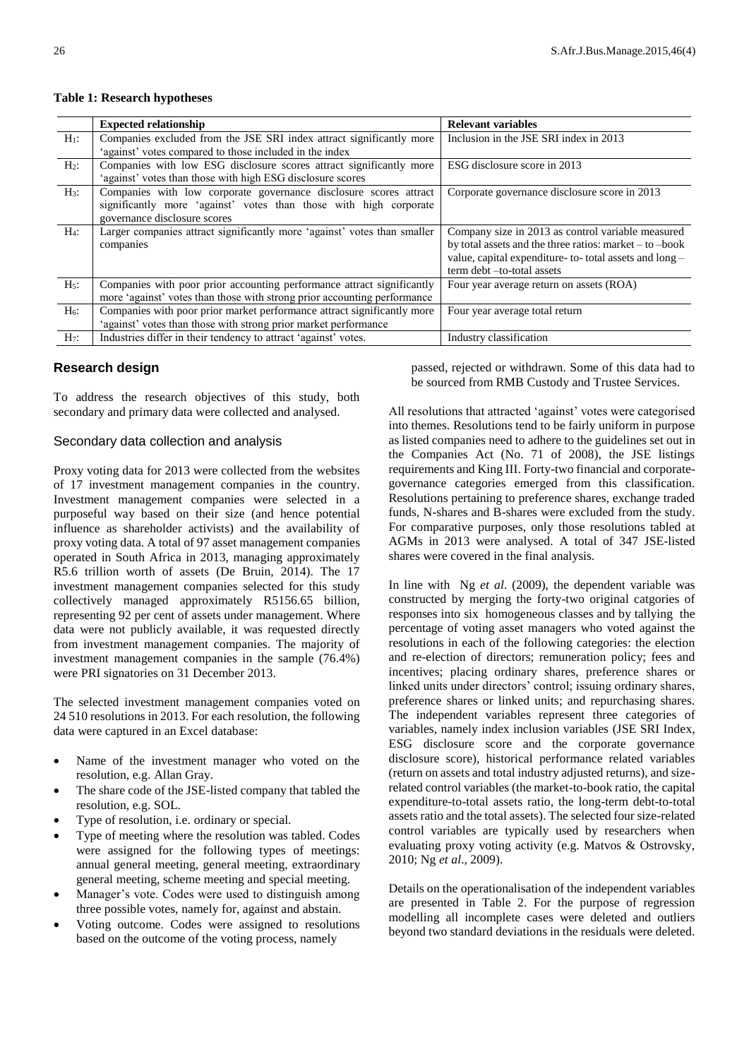|         | <b>Expected relationship</b>                                             | <b>Relevant variables</b>                                    |
|---------|--------------------------------------------------------------------------|--------------------------------------------------------------|
| $H_1$ : | Companies excluded from the JSE SRI index attract significantly more     | Inclusion in the JSE SRI index in 2013                       |
|         | 'against' votes compared to those included in the index                  |                                                              |
| $H_2$ : | Companies with low ESG disclosure scores attract significantly more      | ESG disclosure score in 2013                                 |
|         | 'against' votes than those with high ESG disclosure scores               |                                                              |
| $H_3$ : | Companies with low corporate governance disclosure scores attract        | Corporate governance disclosure score in 2013                |
|         | significantly more 'against' votes than those with high corporate        |                                                              |
|         | governance disclosure scores                                             |                                                              |
| $H_4$ : | Larger companies attract significantly more 'against' votes than smaller | Company size in 2013 as control variable measured            |
|         | companies                                                                | by total assets and the three ratios: market $-$ to $-$ book |
|         |                                                                          | value, capital expenditure- to- total assets and long -      |
|         |                                                                          | term debt -to-total assets                                   |
| $H5$ :  | Companies with poor prior accounting performance attract significantly   | Four year average return on assets (ROA)                     |
|         | more 'against' votes than those with strong prior accounting performance |                                                              |
| $H_6$ : | Companies with poor prior market performance attract significantly more  | Four year average total return                               |
|         | 'against' votes than those with strong prior market performance          |                                                              |
| $H_7$ : | Industries differ in their tendency to attract 'against' votes.          | Industry classification                                      |

#### **Table 1: Research hypotheses**

# **Research design**

To address the research objectives of this study, both secondary and primary data were collected and analysed.

## Secondary data collection and analysis

Proxy voting data for 2013 were collected from the websites of 17 investment management companies in the country. Investment management companies were selected in a purposeful way based on their size (and hence potential influence as shareholder activists) and the availability of proxy voting data. A total of 97 asset management companies operated in South Africa in 2013, managing approximately R5.6 trillion worth of assets (De Bruin, 2014). The 17 investment management companies selected for this study collectively managed approximately R5156.65 billion, representing 92 per cent of assets under management. Where data were not publicly available, it was requested directly from investment management companies. The majority of investment management companies in the sample (76.4%) were PRI signatories on 31 December 2013.

The selected investment management companies voted on 24 510 resolutions in 2013. For each resolution, the following data were captured in an Excel database:

- Name of the investment manager who voted on the resolution, e.g. Allan Gray.
- The share code of the JSE-listed company that tabled the resolution, e.g. SOL.
- Type of resolution, i.e. ordinary or special.
- Type of meeting where the resolution was tabled. Codes were assigned for the following types of meetings: annual general meeting, general meeting, extraordinary general meeting, scheme meeting and special meeting.
- Manager's vote. Codes were used to distinguish among three possible votes, namely for, against and abstain.
- Voting outcome. Codes were assigned to resolutions based on the outcome of the voting process, namely

passed, rejected or withdrawn. Some of this data had to be sourced from RMB Custody and Trustee Services.

All resolutions that attracted 'against' votes were categorised into themes. Resolutions tend to be fairly uniform in purpose as listed companies need to adhere to the guidelines set out in the Companies Act (No. 71 of 2008), the JSE listings requirements and King III. Forty-two financial and corporategovernance categories emerged from this classification. Resolutions pertaining to preference shares, exchange traded funds, N-shares and B-shares were excluded from the study. For comparative purposes, only those resolutions tabled at AGMs in 2013 were analysed. A total of 347 JSE-listed shares were covered in the final analysis.

In line with Ng *et al*. (2009), the dependent variable was constructed by merging the forty-two original catgories of responses into six homogeneous classes and by tallying the percentage of voting asset managers who voted against the resolutions in each of the following categories: the election and re-election of directors; remuneration policy; fees and incentives; placing ordinary shares, preference shares or linked units under directors' control; issuing ordinary shares, preference shares or linked units; and repurchasing shares. The independent variables represent three categories of variables, namely index inclusion variables (JSE SRI Index, ESG disclosure score and the corporate governance disclosure score), historical performance related variables (return on assets and total industry adjusted returns), and sizerelated control variables (the market-to-book ratio, the capital expenditure-to-total assets ratio, the long-term debt-to-total assets ratio and the total assets). The selected four size-related control variables are typically used by researchers when evaluating proxy voting activity (e.g. Matvos & Ostrovsky, 2010; Ng *et al*., 2009).

Details on the operationalisation of the independent variables are presented in Table 2. For the purpose of regression modelling all incomplete cases were deleted and outliers beyond two standard deviations in the residuals were deleted.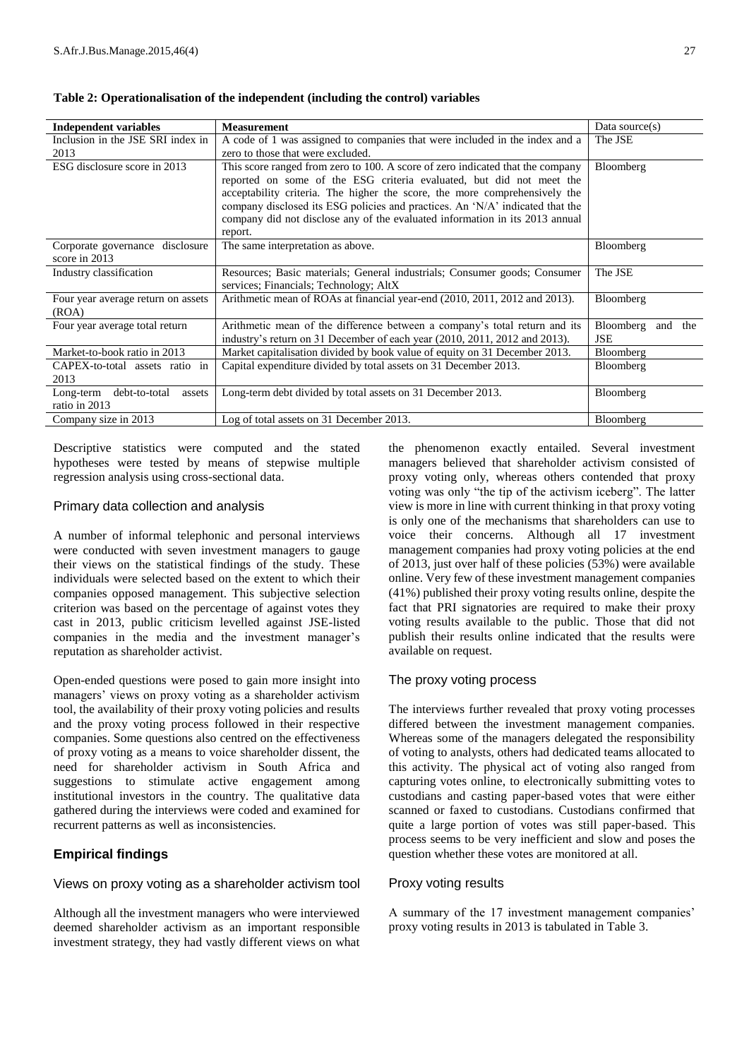| <b>Independent variables</b>                          | <b>Measurement</b>                                                                                                                                                                                                                                                                                                                                                                                               | Data source $(s)$               |
|-------------------------------------------------------|------------------------------------------------------------------------------------------------------------------------------------------------------------------------------------------------------------------------------------------------------------------------------------------------------------------------------------------------------------------------------------------------------------------|---------------------------------|
| Inclusion in the JSE SRI index in                     | A code of 1 was assigned to companies that were included in the index and a                                                                                                                                                                                                                                                                                                                                      | The JSE                         |
| 2013                                                  | zero to those that were excluded.                                                                                                                                                                                                                                                                                                                                                                                |                                 |
| ESG disclosure score in 2013                          | This score ranged from zero to 100. A score of zero indicated that the company<br>reported on some of the ESG criteria evaluated, but did not meet the<br>acceptability criteria. The higher the score, the more comprehensively the<br>company disclosed its ESG policies and practices. An 'N/A' indicated that the<br>company did not disclose any of the evaluated information in its 2013 annual<br>report. | Bloomberg                       |
| Corporate governance disclosure<br>score in 2013      | The same interpretation as above.                                                                                                                                                                                                                                                                                                                                                                                | Bloomberg                       |
| Industry classification                               | Resources; Basic materials; General industrials; Consumer goods; Consumer<br>services; Financials; Technology; AltX                                                                                                                                                                                                                                                                                              | The JSE                         |
| Four year average return on assets<br>(ROA)           | Arithmetic mean of ROAs at financial year-end (2010, 2011, 2012 and 2013).                                                                                                                                                                                                                                                                                                                                       | Bloomberg                       |
| Four year average total return                        | Arithmetic mean of the difference between a company's total return and its<br>industry's return on 31 December of each year (2010, 2011, 2012 and 2013).                                                                                                                                                                                                                                                         | Bloomberg and the<br><b>JSE</b> |
| Market-to-book ratio in 2013                          | Market capitalisation divided by book value of equity on 31 December 2013.                                                                                                                                                                                                                                                                                                                                       | Bloomberg                       |
| CAPEX-to-total assets ratio in<br>2013                | Capital expenditure divided by total assets on 31 December 2013.                                                                                                                                                                                                                                                                                                                                                 | Bloomberg                       |
| Long-term<br>debt-to-total<br>assets<br>ratio in 2013 | Long-term debt divided by total assets on 31 December 2013.                                                                                                                                                                                                                                                                                                                                                      | Bloomberg                       |
| Company size in 2013                                  | Log of total assets on 31 December 2013.                                                                                                                                                                                                                                                                                                                                                                         | Bloomberg                       |

## **Table 2: Operationalisation of the independent (including the control) variables**

Descriptive statistics were computed and the stated hypotheses were tested by means of stepwise multiple regression analysis using cross-sectional data.

## Primary data collection and analysis

A number of informal telephonic and personal interviews were conducted with seven investment managers to gauge their views on the statistical findings of the study. These individuals were selected based on the extent to which their companies opposed management. This subjective selection criterion was based on the percentage of against votes they cast in 2013, public criticism levelled against JSE-listed companies in the media and the investment manager's reputation as shareholder activist.

Open-ended questions were posed to gain more insight into managers' views on proxy voting as a shareholder activism tool, the availability of their proxy voting policies and results and the proxy voting process followed in their respective companies. Some questions also centred on the effectiveness of proxy voting as a means to voice shareholder dissent, the need for shareholder activism in South Africa and suggestions to stimulate active engagement among institutional investors in the country. The qualitative data gathered during the interviews were coded and examined for recurrent patterns as well as inconsistencies.

# **Empirical findings**

Views on proxy voting as a shareholder activism tool

Although all the investment managers who were interviewed deemed shareholder activism as an important responsible investment strategy, they had vastly different views on what

the phenomenon exactly entailed. Several investment managers believed that shareholder activism consisted of proxy voting only, whereas others contended that proxy voting was only "the tip of the activism iceberg". The latter view is more in line with current thinking in that proxy voting is only one of the mechanisms that shareholders can use to voice their concerns. Although all 17 investment management companies had proxy voting policies at the end of 2013, just over half of these policies (53%) were available online. Very few of these investment management companies (41%) published their proxy voting results online, despite the fact that PRI signatories are required to make their proxy voting results available to the public. Those that did not publish their results online indicated that the results were available on request.

# The proxy voting process

The interviews further revealed that proxy voting processes differed between the investment management companies. Whereas some of the managers delegated the responsibility of voting to analysts, others had dedicated teams allocated to this activity. The physical act of voting also ranged from capturing votes online, to electronically submitting votes to custodians and casting paper-based votes that were either scanned or faxed to custodians. Custodians confirmed that quite a large portion of votes was still paper-based. This process seems to be very inefficient and slow and poses the question whether these votes are monitored at all.

## Proxy voting results

A summary of the 17 investment management companies' proxy voting results in 2013 is tabulated in Table 3.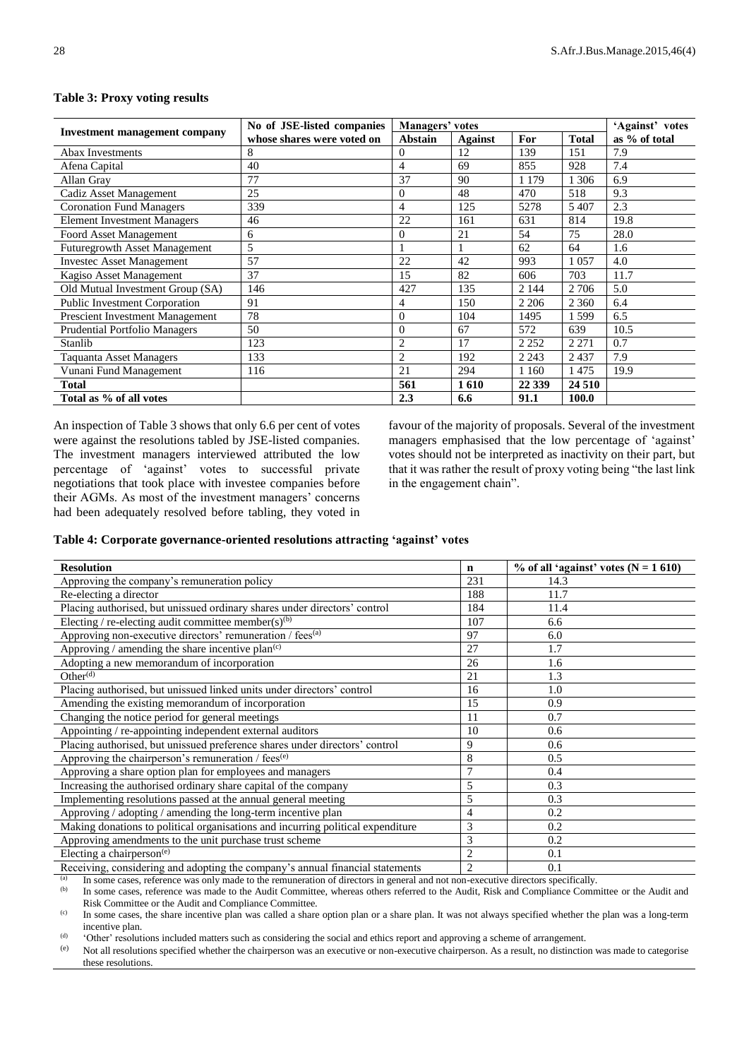|                                        | No of JSE-listed companies | Managers' votes           |      |         |              | 'Against' votes |
|----------------------------------------|----------------------------|---------------------------|------|---------|--------------|-----------------|
| <b>Investment management company</b>   | whose shares were voted on | Abstain<br><b>Against</b> |      | For     | <b>Total</b> | as % of total   |
| Abax Investments                       | 8                          | $\Omega$                  | 12   | 139     | 151          | 7.9             |
| Afena Capital                          | 40                         | $\overline{4}$            | 69   | 855     | 928          | 7.4             |
| Allan Gray                             | 77                         | 37                        | 90   | 1 1 7 9 | 1 306        | 6.9             |
| Cadiz Asset Management                 | 25                         | $\theta$                  | 48   | 470     | 518          | 9.3             |
| <b>Coronation Fund Managers</b>        | 339                        | $\overline{4}$            | 125  | 5278    | 5 4 0 7      | 2.3             |
| <b>Element Investment Managers</b>     | 46                         | 22                        | 161  | 631     | 814          | 19.8            |
| Foord Asset Management                 | 6                          | $\theta$                  | 21   | 54      | 75           | 28.0            |
| <b>Futuregrowth Asset Management</b>   | 5                          |                           |      | 62      | 64           | 1.6             |
| <b>Investec Asset Management</b>       | 57                         | 22                        | 42   | 993     | 1 0 5 7      | 4.0             |
| Kagiso Asset Management                | 37                         | 15                        | 82   | 606     | 703          | 11.7            |
| Old Mutual Investment Group (SA)       | 146                        | 427                       | 135  | 2 1 4 4 | 2 7 0 6      | 5.0             |
| <b>Public Investment Corporation</b>   | 91                         | 4                         | 150  | 2 2 0 6 | 2 3 6 0      | 6.4             |
| <b>Prescient Investment Management</b> | 78                         | $\Omega$                  | 104  | 1495    | 1599         | 6.5             |
| <b>Prudential Portfolio Managers</b>   | 50                         | $\theta$                  | 67   | 572     | 639          | 10.5            |
| Stanlib                                | 123                        | $\overline{2}$            | 17   | 2 2 5 2 | 2 2 7 1      | 0.7             |
| <b>Taquanta Asset Managers</b>         | 133                        | $\overline{2}$            | 192  | 2 2 4 3 | 2437         | 7.9             |
| Vunani Fund Management                 | 116                        | 21                        | 294  | 1 1 6 0 | 1475         | 19.9            |
| <b>Total</b>                           |                            | 561                       | 1610 | 22 3 39 | 24 510       |                 |
| Total as % of all votes                |                            | 2.3                       | 6.6  | 91.1    | 100.0        |                 |

#### **Table 3: Proxy voting results**

An inspection of Table 3 shows that only 6.6 per cent of votes were against the resolutions tabled by JSE-listed companies. The investment managers interviewed attributed the low percentage of 'against' votes to successful private negotiations that took place with investee companies before their AGMs. As most of the investment managers' concerns had been adequately resolved before tabling, they voted in

favour of the majority of proposals. Several of the investment managers emphasised that the low percentage of 'against' votes should not be interpreted as inactivity on their part, but that it was rather the result of proxy voting being "the last link in the engagement chain".

#### **Table 4: Corporate governance-oriented resolutions attracting 'against' votes**

| <b>Resolution</b>                                                               | $\mathbf n$    | % of all 'against' votes $(N = 1 610)$ |
|---------------------------------------------------------------------------------|----------------|----------------------------------------|
| Approving the company's remuneration policy                                     | 231            | 14.3                                   |
| Re-electing a director                                                          | 188            | 11.7                                   |
| Placing authorised, but unissued ordinary shares under directors' control       | 184            | 11.4                                   |
| Electing / re-electing audit committee member(s) <sup>(b)</sup>                 | 107            | 6.6                                    |
| Approving non-executive directors' remuneration / fees <sup>(a)</sup>           | 97             | 6.0                                    |
| Approving / amending the share incentive plan <sup>(c)</sup>                    | 27             | 1.7                                    |
| Adopting a new memorandum of incorporation                                      | 26             | 1.6                                    |
| Other <sup>(d)</sup>                                                            | 21             | 1.3                                    |
| Placing authorised, but unissued linked units under directors' control          | 16             | 1.0                                    |
| Amending the existing memorandum of incorporation                               | 15             | 0.9                                    |
| Changing the notice period for general meetings                                 | 11             | 0.7                                    |
| Appointing / re-appointing independent external auditors                        | 10             | 0.6                                    |
| Placing authorised, but unissued preference shares under directors' control     | 9              | 0.6                                    |
| Approving the chairperson's remuneration / fees <sup>(e)</sup>                  | 8              | 0.5                                    |
| Approving a share option plan for employees and managers                        | $\overline{7}$ | 0.4                                    |
| Increasing the authorised ordinary share capital of the company                 | 5              | 0.3                                    |
| Implementing resolutions passed at the annual general meeting                   | 5              | 0.3                                    |
| Approving / adopting / amending the long-term incentive plan                    | 4              | 0.2                                    |
| Making donations to political organisations and incurring political expenditure | 3              | 0.2                                    |
| Approving amendments to the unit purchase trust scheme                          | 3              | 0.2                                    |
| Electing a chairperson $(e)$                                                    | $\overline{2}$ | 0.1                                    |
| Receiving, considering and adopting the company's annual financial statements   | $\overline{2}$ | 0.1                                    |

(a) In some cases, reference was only made to the remuneration of directors in general and not non-executive directors specifically.<br>
In some cases, reference was made to the Audit Committee, whereas others referred to th

In some cases, reference was made to the Audit Committee, whereas others referred to the Audit, Risk and Compliance Committee or the Audit and Risk Committee or the Audit and Compliance Committee.

(c) In some cases, the share incentive plan was called a share option plan or a share plan. It was not always specified whether the plan was a long-term incentive plan.

(d) 'Other' resolutions included matters such as considering the social and ethics report and approving a scheme of arrangement.

(e) Not all resolutions specified whether the chairperson was an executive or non-executive chairperson. As a result, no distinction was made to categorise these resolutions.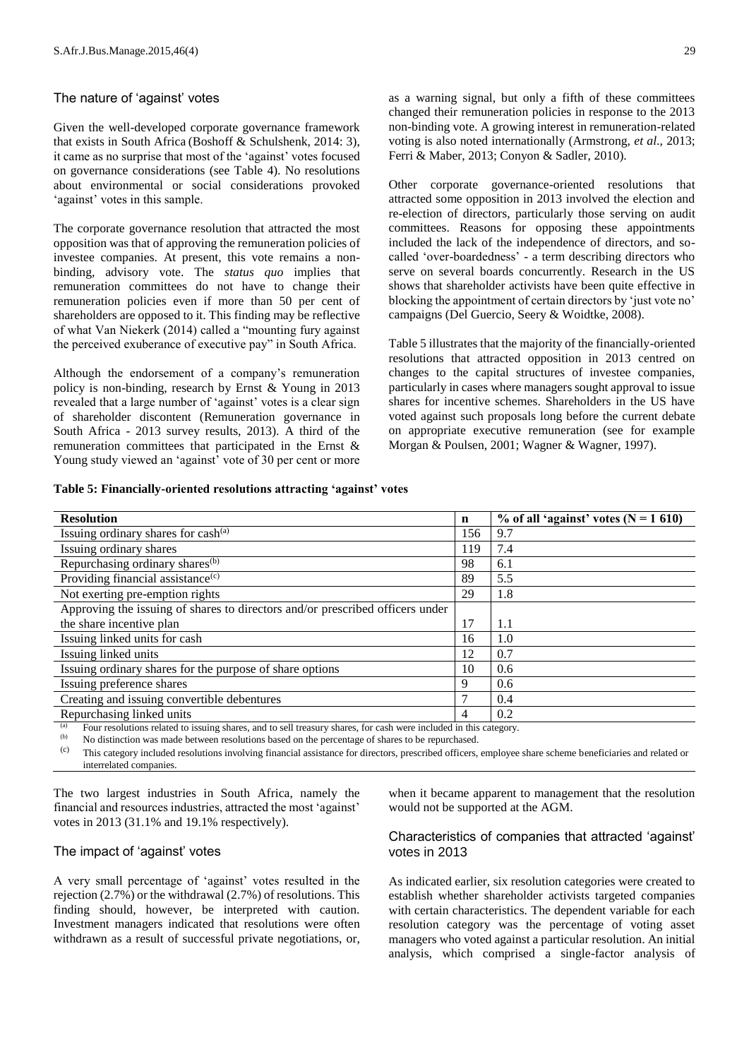#### The nature of 'against' votes

Given the well-developed corporate governance framework that exists in South Africa (Boshoff & Schulshenk, 2014: 3), it came as no surprise that most of the 'against' votes focused on governance considerations (see Table 4). No resolutions about environmental or social considerations provoked 'against' votes in this sample.

The corporate governance resolution that attracted the most opposition was that of approving the remuneration policies of investee companies. At present, this vote remains a nonbinding, advisory vote. The *status quo* implies that remuneration committees do not have to change their remuneration policies even if more than 50 per cent of shareholders are opposed to it. This finding may be reflective of what Van Niekerk (2014) called a "mounting fury against the perceived exuberance of executive pay" in South Africa.

Although the endorsement of a company's remuneration policy is non-binding, research by Ernst & Young in 2013 revealed that a large number of 'against' votes is a clear sign of shareholder discontent (Remuneration governance in South Africa - 2013 survey results, 2013). A third of the remuneration committees that participated in the Ernst & Young study viewed an 'against' vote of 30 per cent or more

Other corporate governance-oriented resolutions that attracted some opposition in 2013 involved the election and re-election of directors, particularly those serving on audit committees. Reasons for opposing these appointments included the lack of the independence of directors, and socalled 'over-boardedness' - a term describing directors who serve on several boards concurrently. Research in the US shows that shareholder activists have been quite effective in blocking the appointment of certain directors by 'just vote no' campaigns (Del Guercio, Seery & Woidtke, 2008).

Table 5 illustrates that the majority of the financially-oriented resolutions that attracted opposition in 2013 centred on changes to the capital structures of investee companies, particularly in cases where managers sought approval to issue shares for incentive schemes. Shareholders in the US have voted against such proposals long before the current debate on appropriate executive remuneration (see for example Morgan & Poulsen, 2001; Wagner & Wagner, 1997).

|  |  |  |  |  | Table 5: Financially-oriented resolutions attracting 'against' votes |  |
|--|--|--|--|--|----------------------------------------------------------------------|--|
|  |  |  |  |  |                                                                      |  |

| <b>Resolution</b>                                                                                                                                                                                                              | $\mathbf n$ | $\%$ of all 'against' votes (N = 1 610) |
|--------------------------------------------------------------------------------------------------------------------------------------------------------------------------------------------------------------------------------|-------------|-----------------------------------------|
| Issuing ordinary shares for $cash(a)$                                                                                                                                                                                          | 156         | 9.7                                     |
| Issuing ordinary shares                                                                                                                                                                                                        | 119         | 7.4                                     |
| Repurchasing ordinary shares <sup>(b)</sup>                                                                                                                                                                                    | 98          | 6.1                                     |
| Providing financial assistance <sup>(c)</sup>                                                                                                                                                                                  | 89          | 5.5                                     |
| Not exerting pre-emption rights                                                                                                                                                                                                | 29          | 1.8                                     |
| Approving the issuing of shares to directors and/or prescribed officers under                                                                                                                                                  |             |                                         |
| the share incentive plan                                                                                                                                                                                                       | 17          | 1.1                                     |
| Issuing linked units for cash                                                                                                                                                                                                  | 16          | 1.0                                     |
| Issuing linked units                                                                                                                                                                                                           | 12          | 0.7                                     |
| Issuing ordinary shares for the purpose of share options                                                                                                                                                                       | 10          | 0.6                                     |
| Issuing preference shares                                                                                                                                                                                                      | 9           | 0.6                                     |
| Creating and issuing convertible debentures                                                                                                                                                                                    |             | 0.4                                     |
| Repurchasing linked units                                                                                                                                                                                                      | 4           | 0.2                                     |
| (a) There are that we articled as theretical thrown and are will accommodulate from the controlled that the distribution of the state of the state of the state of the state of the state of the state of the state of the sta |             |                                         |

(a) Four resolutions related to issuing shares, and to sell treasury shares, for cash were included in this category.<br>(b) No distinction was made between resolutions based on the percentage of shares to be repurchased.

No distinction was made between resolutions based on the percentage of shares to be repurchased.

(c) This category included resolutions involving financial assistance for directors, prescribed officers, employee share scheme beneficiaries and related or interrelated companies.

The two largest industries in South Africa, namely the financial and resources industries, attracted the most 'against' votes in 2013 (31.1% and 19.1% respectively).

# The impact of 'against' votes

A very small percentage of 'against' votes resulted in the rejection (2.7%) or the withdrawal (2.7%) of resolutions. This finding should, however, be interpreted with caution. Investment managers indicated that resolutions were often withdrawn as a result of successful private negotiations, or,

when it became apparent to management that the resolution would not be supported at the AGM.

# Characteristics of companies that attracted 'against' votes in 2013

As indicated earlier, six resolution categories were created to establish whether shareholder activists targeted companies with certain characteristics. The dependent variable for each resolution category was the percentage of voting asset managers who voted against a particular resolution. An initial analysis, which comprised a single-factor analysis of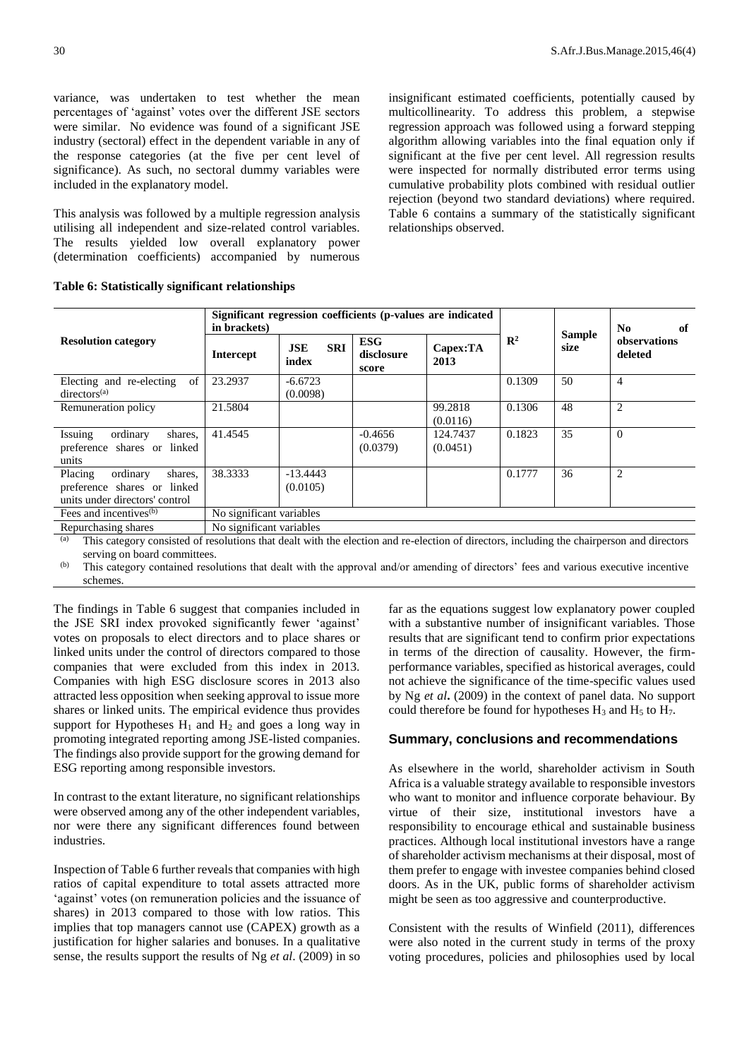variance, was undertaken to test whether the mean percentages of 'against' votes over the different JSE sectors were similar. No evidence was found of a significant JSE industry (sectoral) effect in the dependent variable in any of the response categories (at the five per cent level of significance). As such, no sectoral dummy variables were included in the explanatory model.

This analysis was followed by a multiple regression analysis utilising all independent and size-related control variables. The results yielded low overall explanatory power (determination coefficients) accompanied by numerous

insignificant estimated coefficients, potentially caused by multicollinearity. To address this problem, a stepwise regression approach was followed using a forward stepping algorithm allowing variables into the final equation only if significant at the five per cent level. All regression results were inspected for normally distributed error terms using cumulative probability plots combined with residual outlier rejection (beyond two standard deviations) where required. Table 6 contains a summary of the statistically significant relationships observed.

|                                                                                                 | in brackets)             | Significant regression coefficients (p-values are indicated |                                   |                      | N <sub>0</sub><br>of |                       |                         |  |
|-------------------------------------------------------------------------------------------------|--------------------------|-------------------------------------------------------------|-----------------------------------|----------------------|----------------------|-----------------------|-------------------------|--|
| <b>Resolution category</b>                                                                      | <b>Intercept</b>         | <b>SRI</b><br><b>JSE</b><br>index                           | <b>ESG</b><br>disclosure<br>score | Capex:TA<br>2013     | $\mathbb{R}^2$       | <b>Sample</b><br>size | observations<br>deleted |  |
| of<br>Electing and re-electing<br>directors <sup>(a)</sup>                                      | 23.2937                  | $-6.6723$<br>(0.0098)                                       |                                   |                      | 0.1309               | 50                    | $\overline{4}$          |  |
| Remuneration policy                                                                             | 21.5804                  |                                                             |                                   | 99.2818<br>(0.0116)  | 0.1306               | 48                    | $\overline{2}$          |  |
| Issuing<br>ordinary<br>shares,<br>preference shares or linked<br>units                          | 41.4545                  |                                                             | $-0.4656$<br>(0.0379)             | 124.7437<br>(0.0451) | 0.1823               | 35                    | $\theta$                |  |
| Placing<br>ordinary<br>shares.<br>preference shares or linked<br>units under directors' control | 38.3333                  | $-13.4443$<br>(0.0105)                                      |                                   |                      | 0.1777               | 36                    | 2                       |  |
| Fees and incentives <sup>(b)</sup>                                                              | No significant variables |                                                             |                                   |                      |                      |                       |                         |  |
| Repurchasing shares                                                                             | No significant variables |                                                             |                                   |                      |                      |                       |                         |  |

**Table 6: Statistically significant relationships** 

(a) This category consisted of resolutions that dealt with the election and re-election of directors, including the chairperson and directors serving on board committees.

(b) This category contained resolutions that dealt with the approval and/or amending of directors' fees and various executive incentive schemes.

The findings in Table 6 suggest that companies included in the JSE SRI index provoked significantly fewer 'against' votes on proposals to elect directors and to place shares or linked units under the control of directors compared to those companies that were excluded from this index in 2013. Companies with high ESG disclosure scores in 2013 also attracted less opposition when seeking approval to issue more shares or linked units. The empirical evidence thus provides support for Hypotheses  $H_1$  and  $H_2$  and goes a long way in promoting integrated reporting among JSE-listed companies. The findings also provide support for the growing demand for ESG reporting among responsible investors.

In contrast to the extant literature, no significant relationships were observed among any of the other independent variables, nor were there any significant differences found between industries.

Inspection of Table 6 further reveals that companies with high ratios of capital expenditure to total assets attracted more 'against' votes (on remuneration policies and the issuance of shares) in 2013 compared to those with low ratios. This implies that top managers cannot use (CAPEX) growth as a justification for higher salaries and bonuses. In a qualitative sense, the results support the results of Ng *et al*. (2009) in so

far as the equations suggest low explanatory power coupled with a substantive number of insignificant variables. Those results that are significant tend to confirm prior expectations in terms of the direction of causality. However, the firmperformance variables, specified as historical averages, could not achieve the significance of the time-specific values used by Ng *et al***.** (2009) in the context of panel data. No support could therefore be found for hypotheses  $H_3$  and  $H_5$  to  $H_7$ .

#### **Summary, conclusions and recommendations**

As elsewhere in the world, shareholder activism in South Africa is a valuable strategy available to responsible investors who want to monitor and influence corporate behaviour. By virtue of their size, institutional investors have a responsibility to encourage ethical and sustainable business practices. Although local institutional investors have a range of shareholder activism mechanisms at their disposal, most of them prefer to engage with investee companies behind closed doors. As in the UK, public forms of shareholder activism might be seen as too aggressive and counterproductive.

Consistent with the results of Winfield (2011), differences were also noted in the current study in terms of the proxy voting procedures, policies and philosophies used by local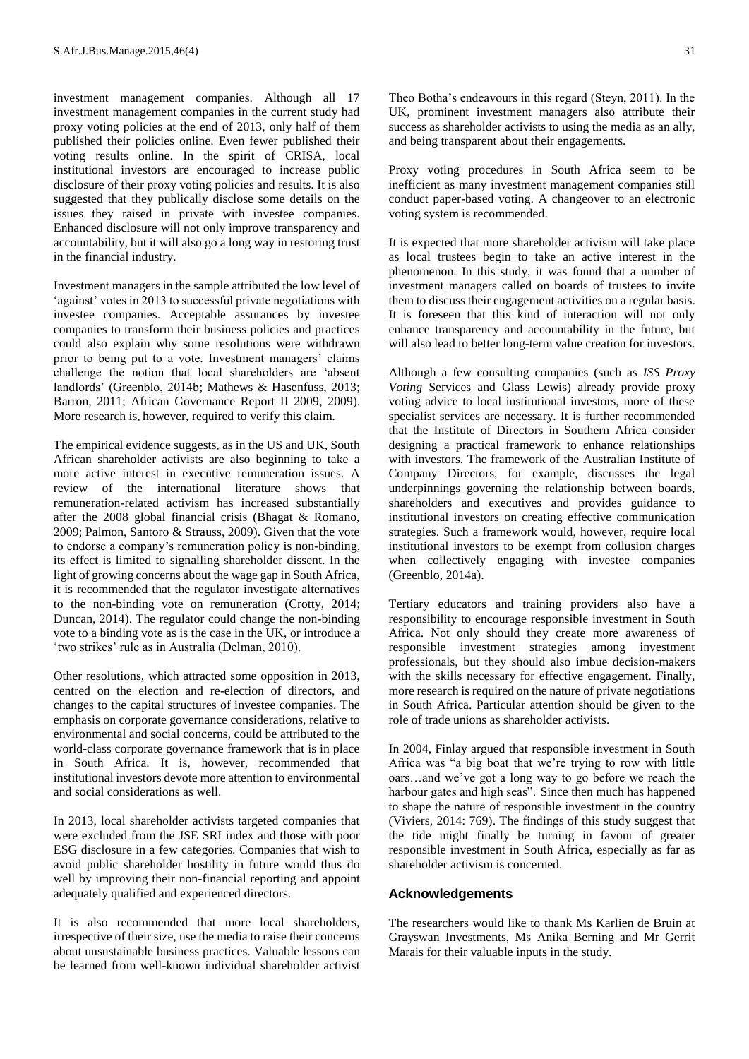investment management companies. Although all 17 investment management companies in the current study had proxy voting policies at the end of 2013, only half of them published their policies online. Even fewer published their voting results online. In the spirit of CRISA, local institutional investors are encouraged to increase public disclosure of their proxy voting policies and results. It is also suggested that they publically disclose some details on the issues they raised in private with investee companies. Enhanced disclosure will not only improve transparency and accountability, but it will also go a long way in restoring trust in the financial industry.

Investment managers in the sample attributed the low level of 'against' votes in 2013 to successful private negotiations with investee companies. Acceptable assurances by investee companies to transform their business policies and practices could also explain why some resolutions were withdrawn prior to being put to a vote. Investment managers' claims challenge the notion that local shareholders are 'absent landlords' (Greenblo, 2014b; Mathews & Hasenfuss, 2013; Barron, 2011; African Governance Report II 2009, 2009). More research is, however, required to verify this claim.

The empirical evidence suggests, as in the US and UK, South African shareholder activists are also beginning to take a more active interest in executive remuneration issues. A review of the international literature shows that remuneration-related activism has increased substantially after the 2008 global financial crisis (Bhagat & Romano, 2009; Palmon, Santoro & Strauss, 2009). Given that the vote to endorse a company's remuneration policy is non-binding, its effect is limited to signalling shareholder dissent. In the light of growing concerns about the wage gap in South Africa, it is recommended that the regulator investigate alternatives to the non-binding vote on remuneration (Crotty, 2014; Duncan, 2014). The regulator could change the non-binding vote to a binding vote as is the case in the UK, or introduce a 'two strikes' rule as in Australia (Delman, 2010).

Other resolutions, which attracted some opposition in 2013, centred on the election and re-election of directors, and changes to the capital structures of investee companies. The emphasis on corporate governance considerations, relative to environmental and social concerns, could be attributed to the world-class corporate governance framework that is in place in South Africa. It is, however, recommended that institutional investors devote more attention to environmental and social considerations as well.

In 2013, local shareholder activists targeted companies that were excluded from the JSE SRI index and those with poor ESG disclosure in a few categories. Companies that wish to avoid public shareholder hostility in future would thus do well by improving their non-financial reporting and appoint adequately qualified and experienced directors.

It is also recommended that more local shareholders, irrespective of their size, use the media to raise their concerns about unsustainable business practices. Valuable lessons can be learned from well-known individual shareholder activist

Theo Botha's endeavours in this regard (Steyn, 2011). In the UK, prominent investment managers also attribute their success as shareholder activists to using the media as an ally, and being transparent about their engagements.

Proxy voting procedures in South Africa seem to be inefficient as many investment management companies still conduct paper-based voting. A changeover to an electronic voting system is recommended.

It is expected that more shareholder activism will take place as local trustees begin to take an active interest in the phenomenon. In this study, it was found that a number of investment managers called on boards of trustees to invite them to discuss their engagement activities on a regular basis. It is foreseen that this kind of interaction will not only enhance transparency and accountability in the future, but will also lead to better long-term value creation for investors.

Although a few consulting companies (such as *ISS Proxy Voting* Services and Glass Lewis) already provide proxy voting advice to local institutional investors, more of these specialist services are necessary. It is further recommended that the Institute of Directors in Southern Africa consider designing a practical framework to enhance relationships with investors. The framework of the Australian Institute of Company Directors, for example, discusses the legal underpinnings governing the relationship between boards, shareholders and executives and provides guidance to institutional investors on creating effective communication strategies. Such a framework would, however, require local institutional investors to be exempt from collusion charges when collectively engaging with investee companies (Greenblo, 2014a).

Tertiary educators and training providers also have a responsibility to encourage responsible investment in South Africa. Not only should they create more awareness of responsible investment strategies among investment professionals, but they should also imbue decision-makers with the skills necessary for effective engagement. Finally, more research is required on the nature of private negotiations in South Africa. Particular attention should be given to the role of trade unions as shareholder activists.

In 2004, Finlay argued that responsible investment in South Africa was "a big boat that we're trying to row with little oars…and we've got a long way to go before we reach the harbour gates and high seas". Since then much has happened to shape the nature of responsible investment in the country (Viviers, 2014: 769). The findings of this study suggest that the tide might finally be turning in favour of greater responsible investment in South Africa, especially as far as shareholder activism is concerned.

#### **Acknowledgements**

The researchers would like to thank Ms Karlien de Bruin at Grayswan Investments, Ms Anika Berning and Mr Gerrit Marais for their valuable inputs in the study.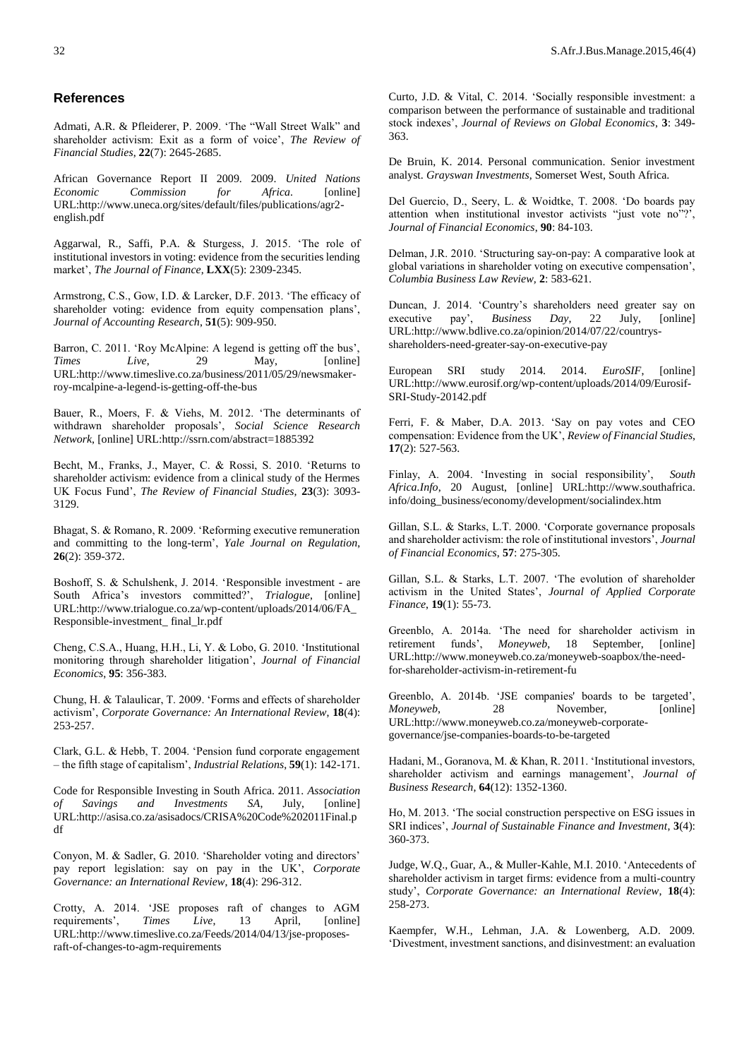#### **References**

[Admati,](http://rfs.oxfordjournals.org/search?author1=Anat+R.+Admati&sortspec=date&submit=Submit) A.R. & [Pfleiderer,](http://rfs.oxfordjournals.org/search?author1=Paul+Pfleiderer&sortspec=date&submit=Submit) P. 2009. 'The "Wall Street Walk" and shareholder activism: Exit as a form of voice', *The Review of Financial Studies*, **22**(7): 2645-2685.

African Governance Report II 2009. 2009. *United Nations Economic Commission for Africa*. [online] URL:http://www.uneca.org/sites/default/files/publications/agr2 english.pdf

Aggarwal, R., Saffi, P.A. & Sturgess, J. 2015. 'The role of institutional investors in voting: evidence from the securities lending market', *The Journal of Finance*, **LXX**(5): 2309-2345.

Armstrong, C.S., Gow, I.D. & Larcker, D.F. 2013. 'The efficacy of shareholder voting: evidence from equity compensation plans', *Journal of Accounting Research*, **51**(5): 909-950.

Barron, C. 2011. 'Roy McAlpine: A legend is getting off the bus', *Times Live*, 29 May, [online] URL:http://www.timeslive.co.za/business/2011/05/29/newsmakerroy-mcalpine-a-legend-is-getting-off-the-bus

Bauer, R., Moers, F. & Viehs, M. 2012. 'The determinants of withdrawn shareholder proposals', *Social Science Research Network*, [online] URL:http://ssrn.com/abstract=1885392

Becht, M., Franks, J., Mayer, C. & Rossi, S. 2010. 'Returns to shareholder activism: evidence from a clinical study of the Hermes UK Focus Fund', *The Review of Financial Studies,* **23**(3): 3093- 3129.

Bhagat, S. & Romano, R. 2009. 'Reforming executive remuneration and committing to the long-term', *Yale Journal on Regulation*, **26**(2): 359-372.

Boshoff, S. & Schulshenk, J. 2014. 'Responsible investment - are South Africa's investors committed?', *Trialogue*, [online] URL:http://www.trialogue.co.za/wp-content/uploads/2014/06/FA\_ Responsible-investment\_ final\_lr.pdf

Cheng, C.S.A., Huang, H.H., Li, Y. & Lobo, G. 2010. 'Institutional monitoring through shareholder litigation', *Journal of Financial Economics*, **95**: 356-383.

Chung, H. & Talaulicar, T. 2009. 'Forms and effects of shareholder activism', *Corporate Governance: An International Review*, **18**(4): 253-257.

Clark, G.L. & Hebb, T. 2004. 'Pension fund corporate engagement – the fifth stage of capitalism', *Industrial Relations*, **59**(1): 142-171.

Code for Responsible Investing in South Africa. 2011. *Association of Savings and Investments SA*, July, [online] URL:http://asisa.co.za/asisadocs/CRISA%20Code%202011Final.p df

Conyon, M. & Sadler, G. 2010. 'Shareholder voting and directors' pay report legislation: say on pay in the UK', *Corporate Governance: an International Review*, **18**(4): 296-312.

Crotty, A. 2014. 'JSE proposes raft of changes to AGM requirements', *Times Live*, 13 April, [online] URL:http://www.timeslive.co.za/Feeds/2014/04/13/jse-proposesraft-of-changes-to-agm-requirements

Curto, J.D. & Vital, C. 2014. 'Socially responsible investment: a comparison between the performance of sustainable and traditional stock indexes', *Journal of Reviews on Global Economics*, **3**: 349- 363.

De Bruin, K. 2014. Personal communication. Senior investment analyst. *Grayswan Investments*, Somerset West, South Africa.

Del Guercio, D., Seery, L. & Woidtke, T. 2008. 'Do boards pay attention when institutional investor activists "just vote no"?', *Journal of Financial Economics*, **90**: 84-103.

Delman, J.R. 2010. 'Structuring say-on-pay: A comparative look at global variations in shareholder voting on executive compensation', *Columbia Business Law Review,* **2**: 583-621.

Duncan, J. 2014. 'Country's shareholders need greater say on executive pay', *Business Day*, 22 July, [online] URL:http://www.bdlive.co.za/opinion/2014/07/22/countrysshareholders-need-greater-say-on-executive-pay

European SRI study 2014. 2014. *EuroSIF*, [online] URL:http://www.eurosif.org/wp-content/uploads/2014/09/Eurosif-SRI-Study-20142.pdf

Ferri, F. & Maber, D.A. 2013. 'Say on pay votes and CEO compensation: Evidence from the UK', *Review of Financial Studies*, **17**(2): 527-563.

Finlay, A. 2004. 'Investing in social responsibility', *South Africa.Info*, 20 August, [online] URL:http://www.southafrica. info/doing\_business/economy/development/socialindex.htm

Gillan, S.L. & Starks, L.T. 2000. 'Corporate governance proposals and shareholder activism: the role of institutional investors', *Journal of Financial Economics*, **57**: 275-305.

Gillan, S.L. & Starks, L.T. 2007. 'The evolution of shareholder activism in the United States', *Journal of Applied Corporate Finance*, **19**(1): 55-73.

Greenblo, A. 2014a. 'The need for shareholder activism in retirement funds', *Moneyweb*, 18 September, [online] URL:http://www.moneyweb.co.za/moneyweb-soapbox/the-needfor-shareholder-activism-in-retirement-fu

Greenblo, A. 2014b. 'JSE companies' boards to be targeted', Moneyweb, 28 November, [online] *Moneyweb*, 28 November, URL:http://www.moneyweb.co.za/moneyweb-corporategovernance/jse-companies-boards-to-be-targeted

Hadani, M., Goranova, M. & Khan, R. 2011. 'Institutional investors, shareholder activism and earnings management', *Journal of Business Research*, **64**(12): 1352-1360.

Ho, M. 2013. 'The social construction perspective on ESG issues in SRI indices', *Journal of Sustainable Finance and Investment*, **3**(4): 360-373.

Judge, W.Q., Guar, A., & Muller-Kahle, M.I. 2010. 'Antecedents of shareholder activism in target firms: evidence from a multi-country study', *Corporate Governance: an International Review*, **18**(4): 258-273.

Kaempfer, W.H., Lehman, J.A. & Lowenberg, A.D. 2009. 'Divestment, investment sanctions, and disinvestment: an evaluation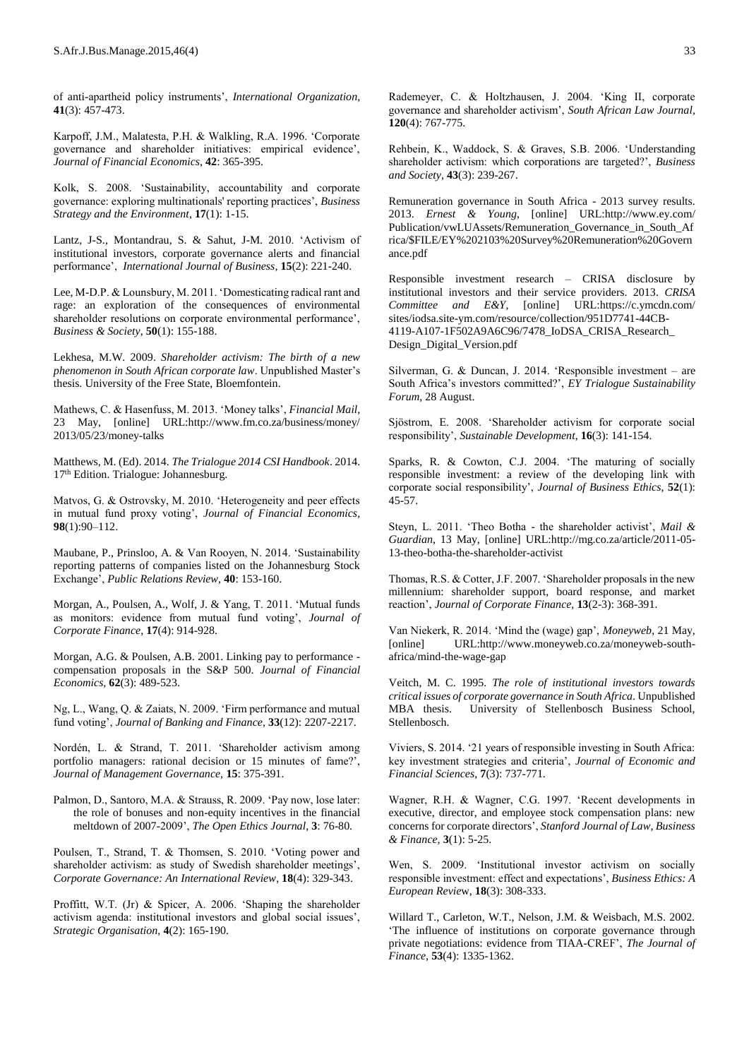of anti-apartheid policy instruments', *International Organization*, **41**(3): 457-473.

Karpoff, J.M., Malatesta, P.H. & Walkling, R.A. 1996. 'Corporate governance and shareholder initiatives: empirical evidence', *Journal of Financial Economics*, **42**: 365-395.

Kolk, S. 2008. 'Sustainability, accountability and corporate governance: exploring multinationals' reporting practices', *Business Strategy and the Environment*, **17**(1): 1-15.

Lantz, J-S., Montandrau, S. & Sahut, J-M. 2010. 'Activism of institutional investors, corporate governance alerts and financial performance', *International Journal of Business*, **15**(2): 221-240.

Lee, M-D.P. & Lounsbury, M. 2011. 'Domesticating radical rant and rage: an exploration of the consequences of environmental shareholder resolutions on corporate environmental performance', *Business & Society*, **50**(1): 155-188.

Lekhesa, M.W. 2009. *Shareholder activism: The birth of a new phenomenon in South African corporate law*. Unpublished Master's thesis. University of the Free State, Bloemfontein.

Mathews, C. & Hasenfuss, M. 2013. 'Money talks', *Financial Mail*, 23 May, [online] URL:http://www.fm.co.za/business/money/ 2013/05/23/money-talks

Matthews, M. (Ed). 2014. *The Trialogue 2014 CSI Handbook*. 2014. 17th Edition. Trialogue: Johannesburg.

Matvos, G. & Ostrovsky, M. 2010. 'Heterogeneity and peer effects in mutual fund proxy voting', *Journal of Financial Economics*, **98**(1):90–112.

Maubane, P., Prinsloo, A. & Van Rooyen, N. 2014. 'Sustainability reporting patterns of companies listed on the Johannesburg Stock Exchange', *Public Relations Review*, **40**: 153-160.

Morgan, A., Poulsen, A., Wolf, J. & Yang, T. 2011. 'Mutual funds as monitors: evidence from mutual fund voting', *Journal of Corporate Finance*, **17**(4): 914-928.

Morgan, A.G. & Poulsen, A.B. 2001. Linking pay to performance compensation proposals in the S&P 500. *Journal of Financial Economics*, **62**(3): 489-523.

Ng, L., Wang, Q. & Zaiats, N. 2009. 'Firm performance and mutual fund voting', *Journal of Banking and Finance*, **33**(12): 2207-2217.

Nordén, L. & Strand, T. 2011. 'Shareholder activism among portfolio managers: rational decision or 15 minutes of fame?', *Journal of Management Governance,* **15**: 375-391.

Palmon, D., Santoro, M.A. & Strauss, R. 2009. 'Pay now, lose later: the role of bonuses and non-equity incentives in the financial meltdown of 2007-2009', *The Open Ethics Journal*, **3**: 76-80.

Poulsen, T., Strand, T. & Thomsen, S. 2010. 'Voting power and shareholder activism: as study of Swedish shareholder meetings', *Corporate Governance: An International Review*, **18**(4): 329-343.

Proffitt, W.T. (Jr) & Spicer, A. 2006. 'Shaping the shareholder activism agenda: institutional investors and global social issues', *Strategic Organisation*, **4**(2): 165-190.

Rademeyer, C. & Holtzhausen, J. 2004. 'King II, corporate governance and shareholder activism', *South African Law Journal*, **120**(4): 767-775.

Rehbein, K., Waddock, S. & Graves, S.B. 2006. 'Understanding shareholder activism: which corporations are targeted?', *Business and Society*, **43**(3): 239-267.

Remuneration governance in South Africa - 2013 survey results. 2013. *Ernest & Young*, [online] URL:http://www.ey.com/ Publication/vwLUAssets/Remuneration\_Governance\_in\_South\_Af rica/\$FILE/EY%202103%20Survey%20Remuneration%20Govern ance.pdf

Responsible investment research – CRISA disclosure by institutional investors and their service providers. 2013. *CRISA Committee and E&Y*, [online] URL:https://c.ymcdn.com/ sites/iodsa.site-ym.com/resource/collection/951D7741-44CB-4119-A107-1F502A9A6C96/7478\_IoDSA\_CRISA\_Research\_ Design\_Digital\_Version.pdf

Silverman, G. & Duncan, J. 2014. 'Responsible investment – are South Africa's investors committed?', *EY Trialogue Sustainability Forum*, 28 August.

Sjöstrom, E. 2008. 'Shareholder activism for corporate social responsibility', *Sustainable Development*, **16**(3): 141-154.

Sparks, R. & Cowton, C.J. 2004. 'The maturing of socially responsible investment: a review of the developing link with corporate social responsibility', *Journal of Business Ethics*, **52**(1): 45-57.

Steyn, L. 2011. 'Theo Botha - the shareholder activist', *Mail & Guardian*, 13 May, [online] URL:http://mg.co.za/article/2011-05- 13-theo-botha-the-shareholder-activist

Thomas, R.S. & Cotter, J.F. 2007. 'Shareholder proposals in the new millennium: shareholder support, board response, and market reaction', *Journal of Corporate Finance*, **13**(2-3): 368-391.

Van Niekerk, R. 2014. 'Mind the (wage) gap', *Moneyweb*, 21 May, [online] URL:http://www.moneyweb.co.za/moneyweb-southafrica/mind-the-wage-gap

Veitch, M. C. 1995. *The role of institutional investors towards critical issues of corporate governance in South Africa*. Unpublished MBA thesis. University of Stellenbosch Business School, Stellenbosch.

Viviers, S. 2014. '21 years of responsible investing in South Africa: key investment strategies and criteria', *Journal of Economic and Financial Sciences*, **7**(3): 737-771.

Wagner, R.H. & Wagner, C.G. 1997. 'Recent developments in executive, director, and employee stock compensation plans: new concerns for corporate directors', *Stanford Journal of Law, Business & Finance,* **3**(1): 5-25.

Wen, S. 2009. 'Institutional investor activism on socially responsible investment: effect and expectations', *Business Ethics: A European Revie*w, **18**(3): 308-333.

Willard T., Carleton, W.T., Nelson, J.M. & Weisbach, M.S. 2002. 'The influence of institutions on corporate governance through private negotiations: evidence from TIAA-CREF', *The Journal of Finance*, **53**(4): 1335-1362.